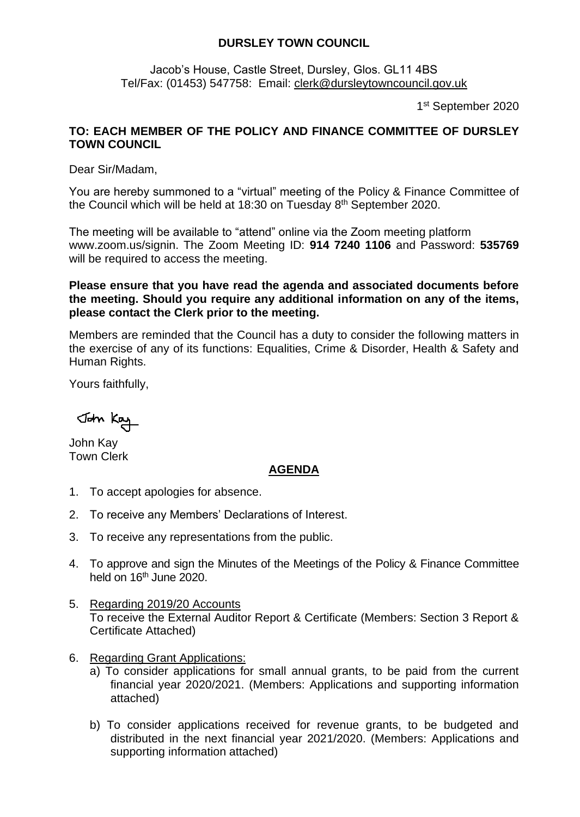## **DURSLEY TOWN COUNCIL**

Jacob's House, Castle Street, Dursley, Glos. GL11 4BS Tel/Fax: (01453) 547758: Email: [clerk@dursleytowncouncil.gov.uk](mailto:clerk@dursleytowncouncil.gov.uk)

1 st September 2020

## **TO: EACH MEMBER OF THE POLICY AND FINANCE COMMITTEE OF DURSLEY TOWN COUNCIL**

Dear Sir/Madam,

You are hereby summoned to a "virtual" meeting of the Policy & Finance Committee of the Council which will be held at 18:30 on Tuesday 8<sup>th</sup> September 2020.

The meeting will be available to "attend" online via the Zoom meeting platform www.zoom.us/signin. The Zoom Meeting ID: **914 7240 1106** and Password: **535769** will be required to access the meeting.

**Please ensure that you have read the agenda and associated documents before the meeting. Should you require any additional information on any of the items, please contact the Clerk prior to the meeting.** 

Members are reminded that the Council has a duty to consider the following matters in the exercise of any of its functions: Equalities, Crime & Disorder, Health & Safety and Human Rights.

Yours faithfully,

John Kay

John Kay Town Clerk

## **AGENDA**

- 1. To accept apologies for absence.
- 2. To receive any Members' Declarations of Interest.
- 3. To receive any representations from the public.
- 4. To approve and sign the Minutes of the Meetings of the Policy & Finance Committee held on 16<sup>th</sup> June 2020.
- 5. Regarding 2019/20 Accounts To receive the External Auditor Report & Certificate (Members: Section 3 Report & Certificate Attached)
- 6. Regarding Grant Applications:
	- a) To consider applications for small annual grants, to be paid from the current financial year 2020/2021. (Members: Applications and supporting information attached)
	- b) To consider applications received for revenue grants, to be budgeted and distributed in the next financial year 2021/2020. (Members: Applications and supporting information attached)